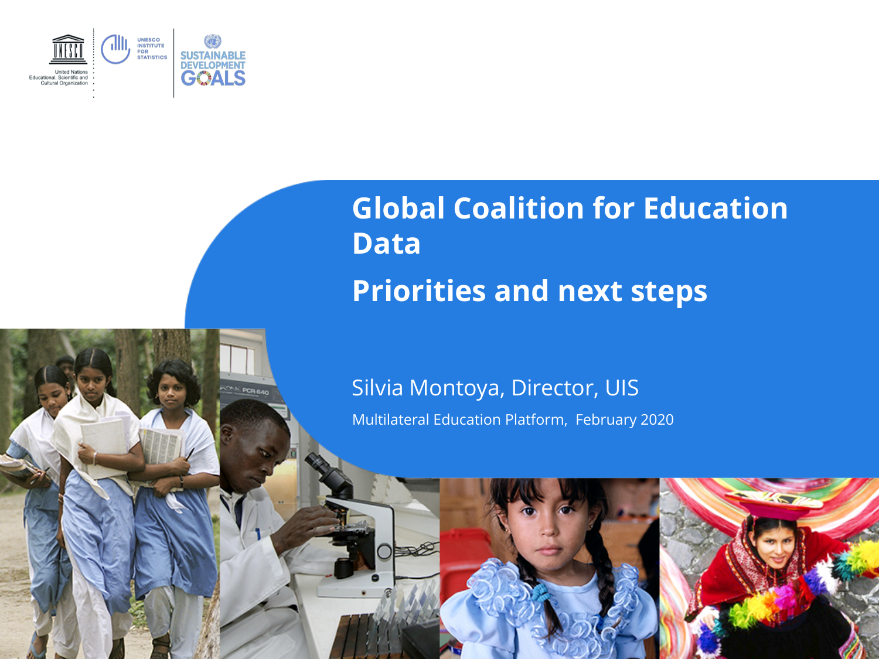

**CAS POR BAY** 

### **Global Coalition for Education Data Priorities and next steps**

#### Silvia Montoya, Director, UIS

Multilateral Education Platform, February 2020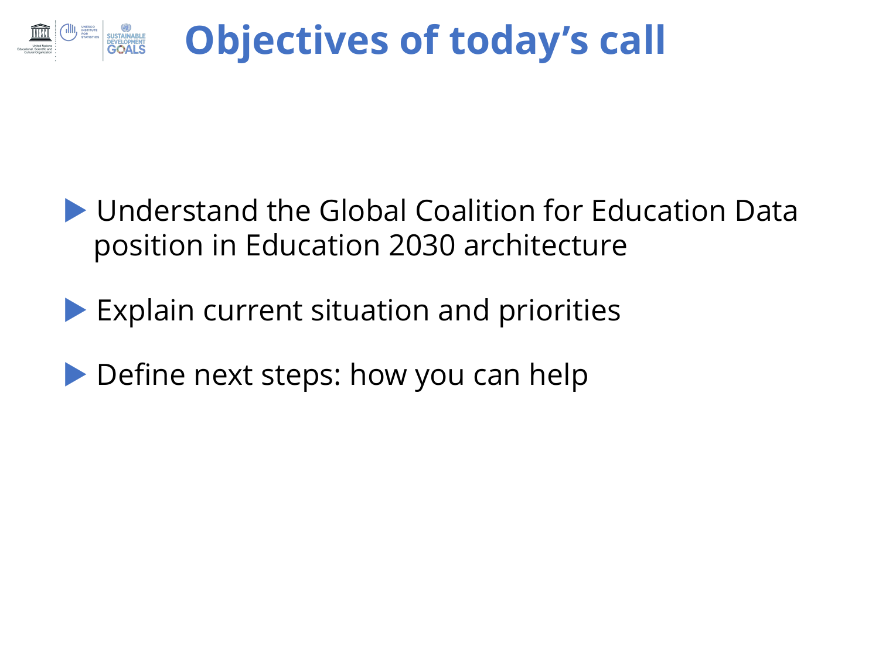

- Understand the Global Coalition for Education Data position in Education 2030 architecture
- **Explain current situation and priorities**
- Define next steps: how you can help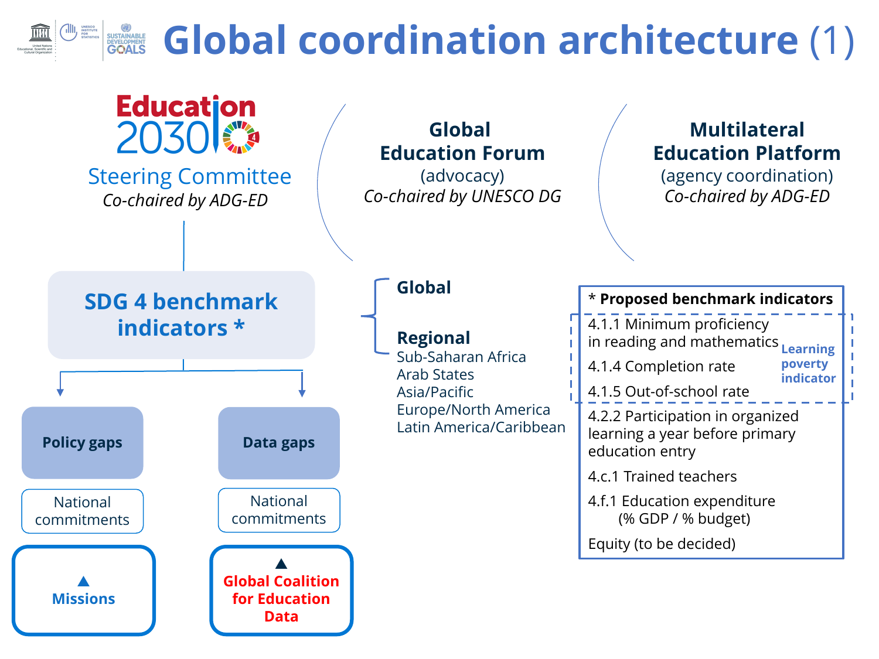## **Example 3 Global coordination architecture** (1)

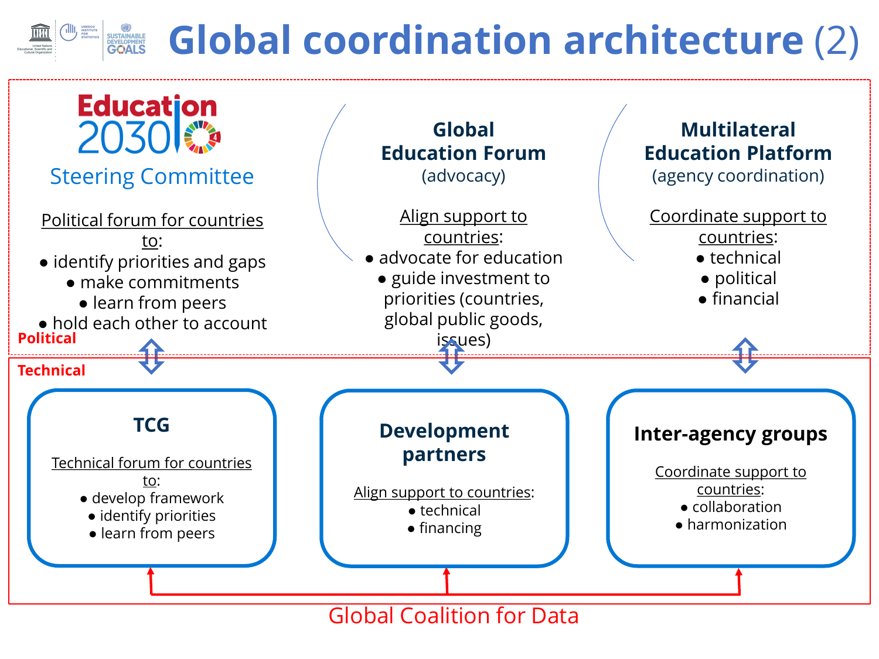# **Example 13 Coordination architecture (2)**



Global Coalition for Data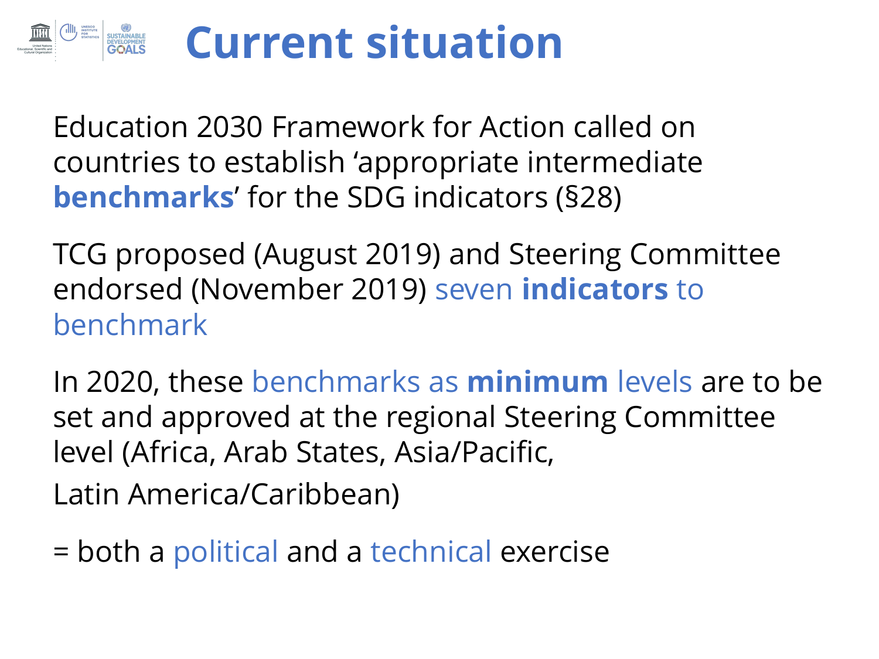#### **Current situation**SUSTAINABLE<br>DEVELOPMENT<br>CONTE

Education 2030 Framework for Action called on countries to establish 'appropriate intermediate **benchmarks**' for the SDG indicators (§28)

TCG proposed (August 2019) and Steering Committee endorsed (November 2019) seven **indicators** to benchmark

In 2020, these benchmarks as **minimum** levels are to be set and approved at the regional Steering Committee level (Africa, Arab States, Asia/Pacific, Latin America/Caribbean)

= both a political and a technical exercise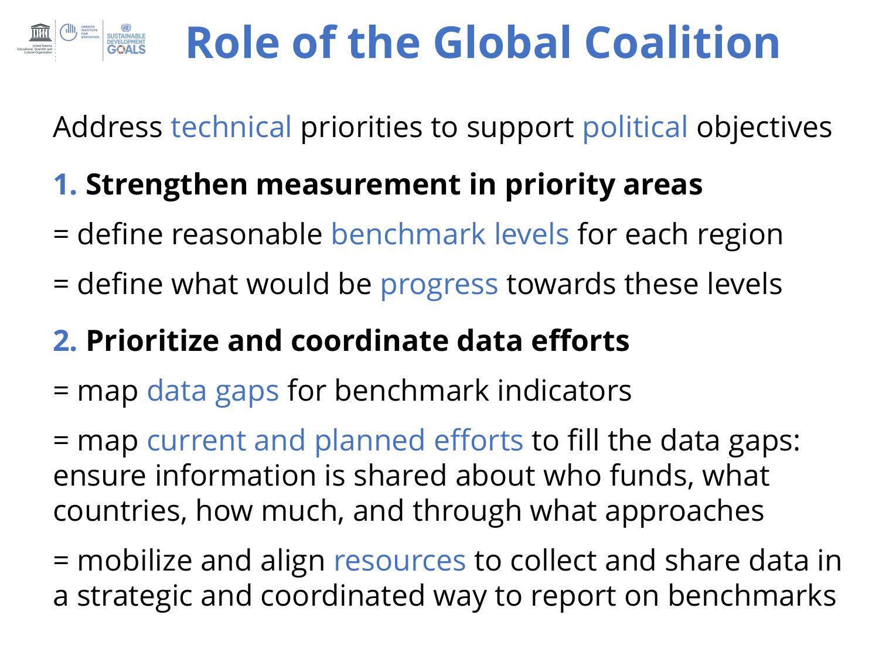# **Role of the Global Coalition**

Address technical priorities to support political objectives

### **1. Strengthen measurement in priority areas**

- = define reasonable benchmark levels for each region
- = define what would be progress towards these levels

### **2. Prioritize and coordinate data efforts**

= map data gaps for benchmark indicators

= map current and planned efforts to fill the data gaps: ensure information is shared about who funds, what countries, how much, and through what approaches

= mobilize and align resources to collect and share data in a strategic and coordinated way to report on benchmarks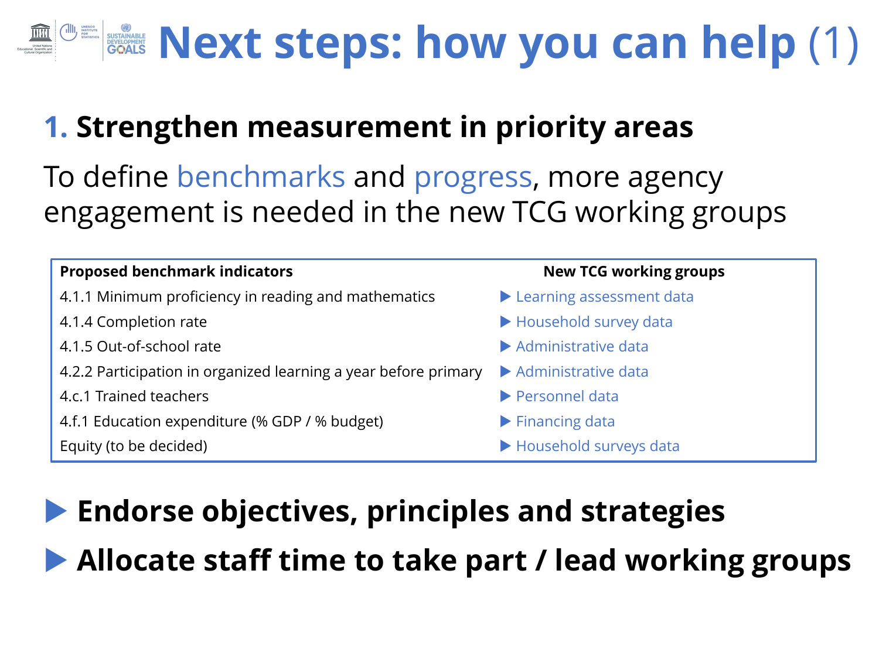# **KEXT Steps: how you can help (1)**

### **1. Strengthen measurement in priority areas**

To define benchmarks and progress, more agency engagement is needed in the new TCG working groups



### **Endorse objectives, principles and strategies**

**Allocate staff time to take part / lead working groups**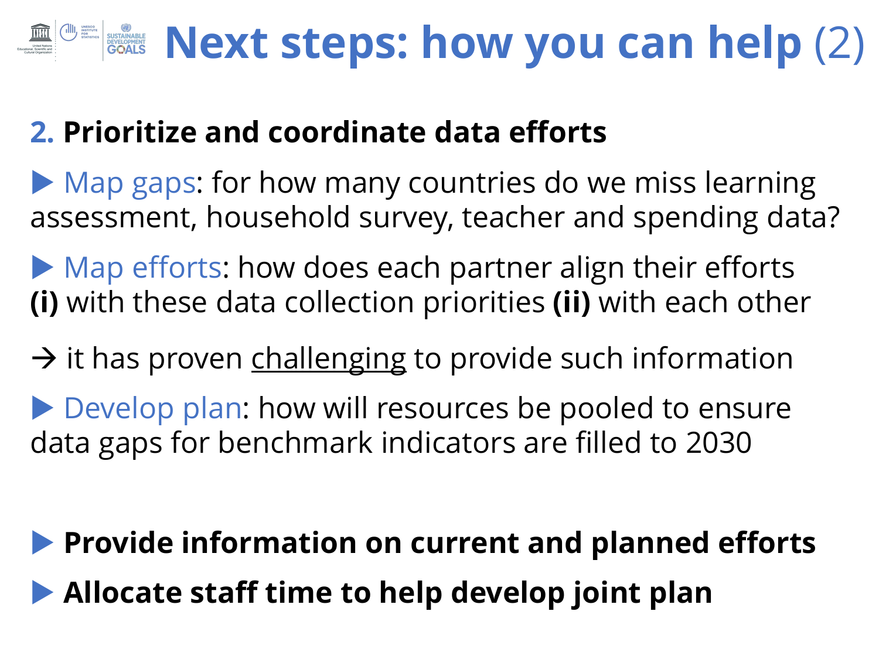# **Next steps: how you can help (2)**

#### **2. Prioritize and coordinate data efforts**

Map gaps: for how many countries do we miss learning assessment, household survey, teacher and spending data?

Map efforts: how does each partner align their efforts **(i)** with these data collection priorities **(ii)** with each other

 $\rightarrow$  it has proven challenging to provide such information

Develop plan: how will resources be pooled to ensure data gaps for benchmark indicators are filled to 2030

## **Provide information on current and planned efforts Allocate staff time to help develop joint plan**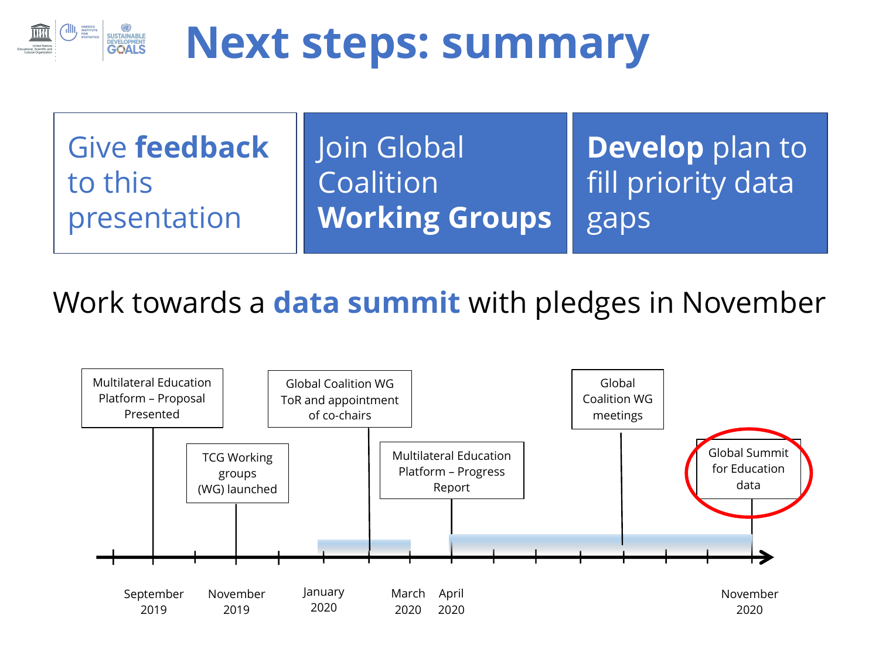

## **Next steps: summary**

Give **feedback**  to this presentation

Join Global Coalition **Working Groups** 

**Develop** plan to fill priority data gaps

Work towards a **data summit** with pledges in November